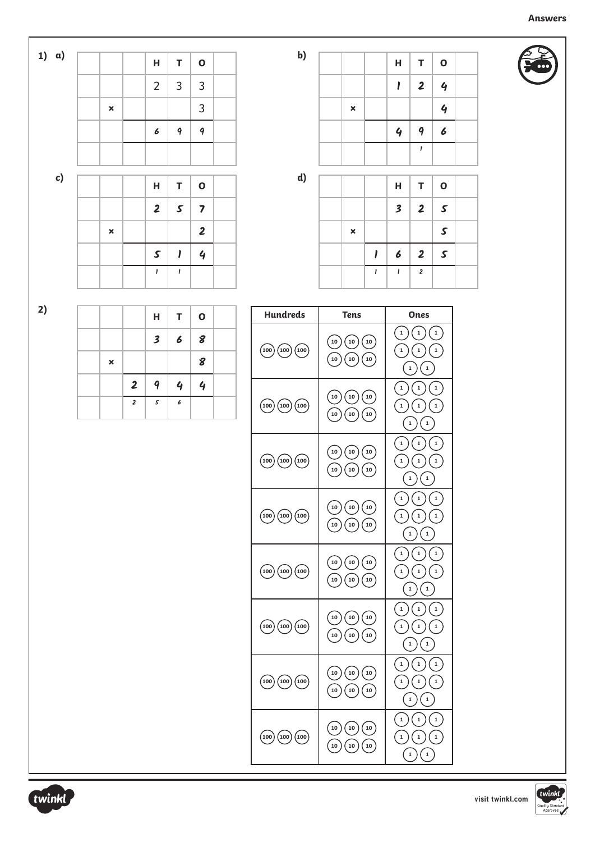|                | H                   | $\mathsf T$   | $\mathbf 0$             |  |
|----------------|---------------------|---------------|-------------------------|--|
|                | $\overline{2}$      | $\mathbf{3}$  | $\overline{3}$          |  |
| $\pmb{\times}$ |                     |               | 3                       |  |
|                | 6                   | 9             | 9                       |  |
|                |                     |               |                         |  |
|                |                     |               |                         |  |
|                | $\mathsf{H}$        | T             | $\mathbf 0$             |  |
|                |                     |               |                         |  |
|                | $\boldsymbol{2}$    | $\mathcal{S}$ | $\overline{\mathbf{z}}$ |  |
| $\pmb{\times}$ |                     |               | $\overline{\mathbf{2}}$ |  |
|                | $\pmb{\mathcal{S}}$ | $\mathbf{I}$  | $\overline{q}$          |  |

| b) |                           |              | H                       | $\mathsf T$             | $\mathbf{o}$     |  |
|----|---------------------------|--------------|-------------------------|-------------------------|------------------|--|
|    |                           |              | I                       | $\overline{\mathbf{2}}$ | $\overline{q}$   |  |
|    | $\boldsymbol{\mathsf{x}}$ |              |                         |                         | $\overline{q}$   |  |
|    |                           |              | $\overline{q}$          | 9                       | $\boldsymbol{6}$ |  |
|    |                           |              |                         | I                       |                  |  |
|    |                           |              |                         |                         |                  |  |
| d) |                           |              | H                       | $\mathsf T$             | $\mathbf{o}$     |  |
|    |                           |              | $\overline{\mathbf{3}}$ | $\overline{\mathbf{2}}$ | $\mathcal{S}$    |  |
|    | $\boldsymbol{\mathsf{x}}$ |              |                         |                         | $\mathcal{S}$    |  |
|    |                           | I            | 6                       | $\overline{\mathbf{2}}$ | $\mathcal{S}$    |  |
|    |                           | $\mathbf{I}$ | I                       | $\pmb{2}$               |                  |  |

**2)** 

**1)** 

|                |                | H.               | $T$ 0         |   |  |
|----------------|----------------|------------------|---------------|---|--|
|                |                | $\mathbf{3}$     | $6 \mid 8$    |   |  |
| $\pmb{\times}$ |                |                  |               | 8 |  |
|                | $\overline{2}$ | $\boldsymbol{q}$ | $\frac{1}{2}$ | 4 |  |
|                | $\overline{2}$ | $\mathcal{S}$    | 6             |   |  |

| <b>Hundreds</b>                                    | <b>Tens</b>                                                     | Ones                                                                                                                    |
|----------------------------------------------------|-----------------------------------------------------------------|-------------------------------------------------------------------------------------------------------------------------|
| $_{100})$<br>(100)<br>(100)                        | 10<br>10<br>10<br>10<br>${\bf 10}$<br>10                        | $\mathbf{1}$<br>$\mathbf{1}$<br>$\mathbf 1$<br>$\mathbf 1$<br>$\mathbf 1$<br>$\mathbf 1$<br>$\mathbf{1}$<br>$\mathbf 1$ |
| $_{100})$<br>(100)<br>(100)                        | ${\bf 10}$<br>$\left(10\right)$<br>10<br>10<br>10<br>${\bf 10}$ | $\mathbf{1}$<br>$\mathbf 1$<br>$\mathbf{1}$<br>$\mathbf{1}$<br>$\mathbf{1}$<br>$\mathbf 1$<br>1<br>$\mathbf 1$          |
| (100)<br>(100)(100)                                | 10<br>10<br>10<br>10<br>10<br>${\bf 10}$                        | $\mathbf{1}$<br>$\mathbf 1$<br>$\mathbf 1$<br>1<br>1<br>$\,$ 1<br>1<br>$\mathbf 1$                                      |
| (100)(100)(100)                                    | 10<br>10<br>${\bf 10}$<br>10<br>10<br>${\bf 10}$                | $\mathbf 1$<br>$\mathbf 1$<br>$\mathbf{1}$<br>1<br>1<br>$\mathbf{1}$<br>$\mathbf 1$<br>1                                |
| $\left(100\right)\left(100\right)\left(100\right)$ | 10<br>10<br>10<br>${\bf 10}$<br>${\bf 10}$<br>$\left(10\right)$ | $\mathbf{1}$<br>1<br>1<br>$\mathbf 1$<br>$\mathbf{1}$<br>$\mathbf{1}$<br>1<br>$\mathbf 1$                               |
| (100)<br>(100)(100)                                | 10<br>${\bf 10}$<br>10<br>10<br>${\bf 10}$<br>10                | $\mathbf{1}$<br>$\mathbf{1}$<br>$\mathbf 1$<br>$\mathbf 1$<br>1<br>$\mathbf 1$<br>$\mathbf{1}$<br>$\mathbf 1$           |
| $_{100}^{\prime})$<br>(100)<br>(100)               | 10<br>${\bf 10}$<br>${\bf 10}$<br>10<br>${\bf 10}$<br>10        | $\mathbf{1}$<br>$\mathbf{1}$<br>$\mathbf 1$<br>$\mathbf 1$<br>$\mathbf{1}$<br>1<br>1<br>$\,$ 1                          |
| (100)<br>(100)(100)                                | 10<br>${\bf 10}$<br>${\bf 10}$<br>10<br>10<br>10                | $\mathbf{1}$<br>$\mathbf{1}$<br>$\mathbf{1}$<br>1<br>1<br>$\mathbf 1$<br>1<br>$\,$ 1                                    |



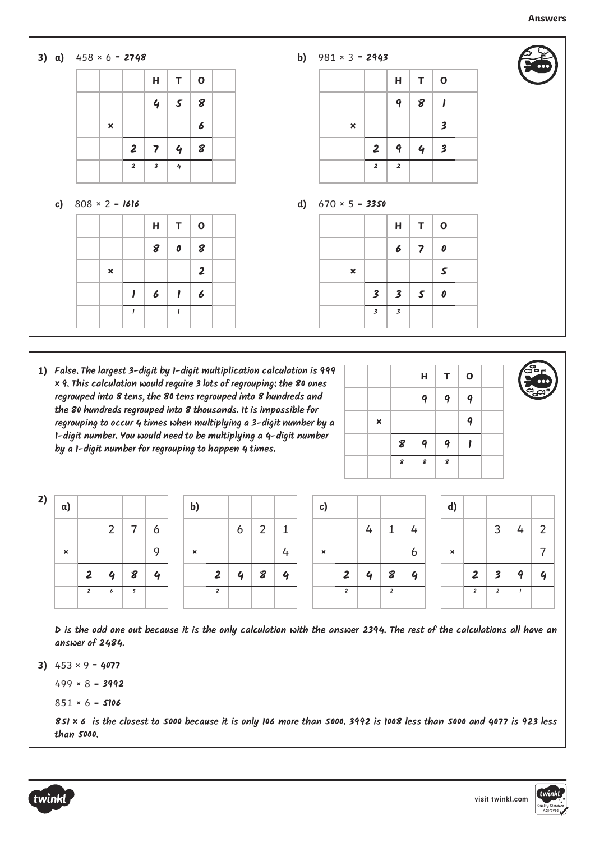## **3) a)** 458 × 6 = **2748 H T O 4 5 8 × 6 2 7 4 8 2 3 4 H T O 8 0 8 × 2 1 6 1 6 c)** 808 × 2 = **1616 H T O 9 8 1 × 3 2 9 4 3 2 2 H T O 6 7 0 × 5 3 3 5 0 b)** 981 × 3 = **2943 d)** 670 × 5 = **3350**

**1) False. The largest 3-digit by 1-digit multiplication calculation is 999 × 9. This calculation would require 3 lots of regrouping: the 80 ones regrouped into 8 tens, the 80 tens regrouped into 8 hundreds and the 80 hundreds regrouped into 8 thousands. It is impossible for regrouping to occur 4 times when multiplying a 3-digit number by a 1-digit number. You would need to be multiplying a 4-digit number by a 1-digit number for regrouping to happen 4 times.** 

**1 1**

|                |   | н | T | $\mathbf{o}$ |  |
|----------------|---|---|---|--------------|--|
|                |   | 9 | 9 | 9            |  |
| $\pmb{\times}$ |   |   |   | 9            |  |
|                | 8 | 9 | 9 |              |  |
|                | 8 | 8 | 8 |              |  |

**3 3**



| 2) | a)                        |                |   |   |          | $\mathbf{b}$              |                         |                  |   |   | C)                        |                |   |                |              | d)                        |                |   |   |                          |
|----|---------------------------|----------------|---|---|----------|---------------------------|-------------------------|------------------|---|---|---------------------------|----------------|---|----------------|--------------|---------------------------|----------------|---|---|--------------------------|
|    |                           |                | ົ | ⇁ | ь        |                           |                         | 6                | ∍ |   |                           |                | 4 |                | 4            |                           |                | 3 |   | $\overline{2}$           |
|    | $\boldsymbol{\mathsf{x}}$ |                |   |   | $\Omega$ | $\boldsymbol{\mathsf{x}}$ |                         |                  |   | 4 | $\boldsymbol{\mathsf{x}}$ |                |   |                | 6            | $\boldsymbol{\mathsf{x}}$ |                |   |   | $\overline{\phantom{a}}$ |
|    |                           | $\overline{2}$ | o | 8 | Ð        |                           | $\overline{2}$          | $\boldsymbol{a}$ | 8 | Δ |                           | 2              | 4 | 8              | $\mathbf{r}$ |                           | 2              |   | Δ | 4                        |
|    |                           | $\overline{2}$ | ъ | 5 |          |                           | $\overline{\mathbf{2}}$ |                  |   |   |                           | $\overline{2}$ |   | $\overline{2}$ |              |                           | $\overline{2}$ |   |   |                          |

**D is the odd one out because it is the only calculation with the answer 2394. The rest of the calculations all have an answer of 2484.**

**3)**  453 × 9 = **4077**

499 × 8 = **3992**

$$
851 \times 6 =
$$
5106

**851 × 6 is the closest to 5000 because it is only 106 more than 5000. 3992 is 1008 less than 5000 and 4077 is 923 less than 5000.**